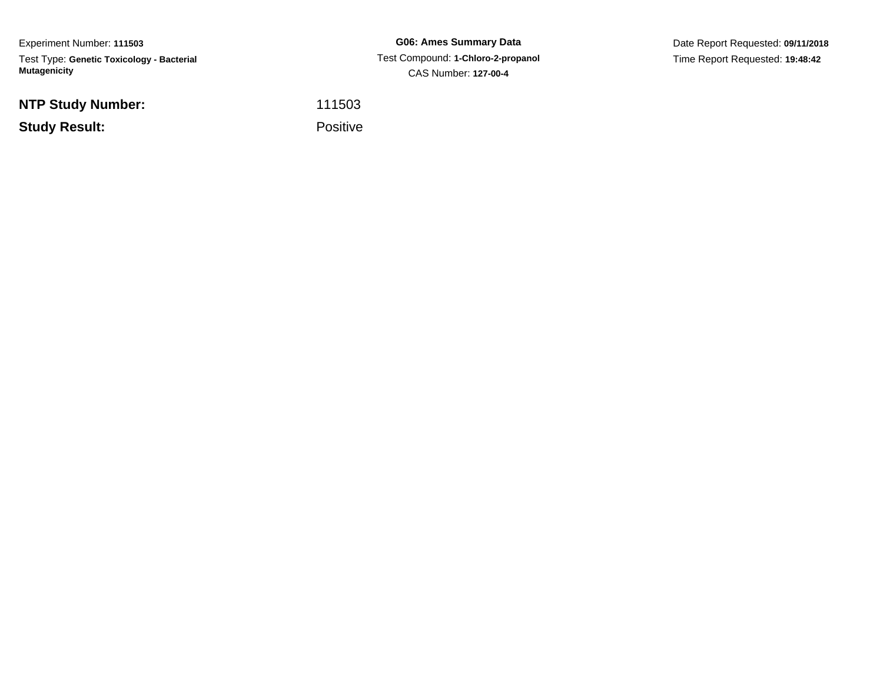Experiment Number: **111503**Test Type: **Genetic Toxicology - Bacterial Mutagenicity**

**NTP Study Number:**

**Study Result:**

**G06: Ames Summary Data** Test Compound: **1-Chloro-2-propanol**CAS Number: **127-00-4**

Date Report Requested: **09/11/2018**Time Report Requested: **19:48:42**

<sup>111503</sup>

Positive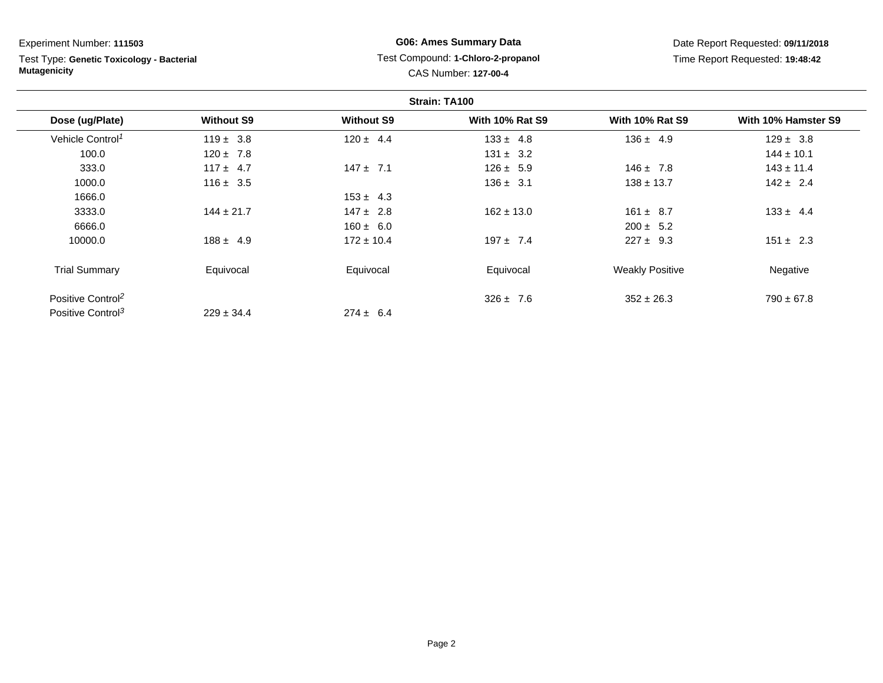# Test Type: **Genetic Toxicology - Bacterial Mutagenicity**

# **G06: Ames Summary Data** Test Compound: **1-Chloro-2-propanol**CAS Number: **127-00-4**

| Strain: TA100                 |                   |                   |                        |                        |                     |
|-------------------------------|-------------------|-------------------|------------------------|------------------------|---------------------|
| Dose (ug/Plate)               | <b>Without S9</b> | <b>Without S9</b> | <b>With 10% Rat S9</b> | <b>With 10% Rat S9</b> | With 10% Hamster S9 |
| Vehicle Control <sup>1</sup>  | $119 \pm 3.8$     | $120 \pm 4.4$     | $133 \pm 4.8$          | $136 \pm 4.9$          | $129 \pm 3.8$       |
| 100.0                         | $120 \pm 7.8$     |                   | $131 \pm 3.2$          |                        | $144 \pm 10.1$      |
| 333.0                         | $117 \pm 4.7$     | $147 \pm 7.1$     | $126 \pm 5.9$          | $146 \pm 7.8$          | $143 \pm 11.4$      |
| 1000.0                        | $116 \pm 3.5$     |                   | $136 \pm 3.1$          | $138 \pm 13.7$         | $142 \pm 2.4$       |
| 1666.0                        |                   | $153 \pm 4.3$     |                        |                        |                     |
| 3333.0                        | $144 \pm 21.7$    | $147 \pm 2.8$     | $162 \pm 13.0$         | $161 \pm 8.7$          | $133 \pm 4.4$       |
| 6666.0                        |                   | $160 \pm 6.0$     |                        | $200 \pm 5.2$          |                     |
| 10000.0                       | $188 \pm 4.9$     | $172 \pm 10.4$    | $197 \pm 7.4$          | $227 \pm 9.3$          | $151 \pm 2.3$       |
| <b>Trial Summary</b>          | Equivocal         | Equivocal         | Equivocal              | <b>Weakly Positive</b> | Negative            |
| Positive Control <sup>2</sup> |                   |                   | $326 \pm 7.6$          | $352 \pm 26.3$         | $790 \pm 67.8$      |
| Positive Control <sup>3</sup> | $229 \pm 34.4$    | $274 \pm 6.4$     |                        |                        |                     |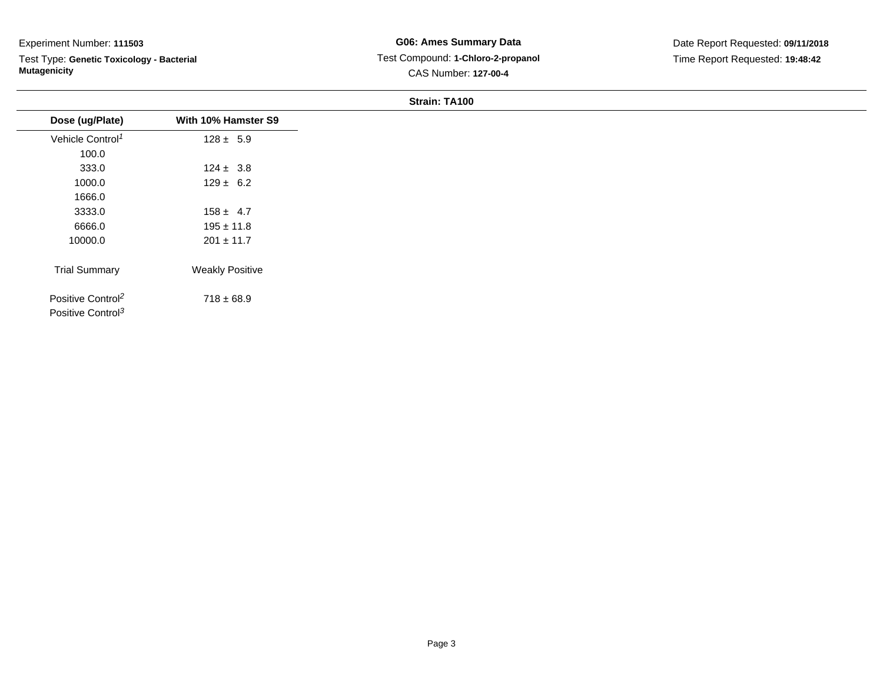Test Type: **Genetic Toxicology - Bacterial Mutagenicity**

**G06: Ames Summary Data** Test Compound: **1-Chloro-2-propanol**CAS Number: **127-00-4**

#### **Strain: TA100**

| Dose (ug/Plate)                                                | With 10% Hamster S9    |
|----------------------------------------------------------------|------------------------|
| Vehicle Control <sup>1</sup>                                   | $128 \pm 5.9$          |
| 100.0                                                          |                        |
| 333.0                                                          | $124 \pm 3.8$          |
| 1000.0                                                         | $129 \pm 6.2$          |
| 1666.0                                                         |                        |
| 3333.0                                                         | $158 \pm 4.7$          |
| 6666.0                                                         | $195 \pm 11.8$         |
| 10000.0                                                        | $201 \pm 11.7$         |
| <b>Trial Summary</b>                                           | <b>Weakly Positive</b> |
| Positive Control <sup>2</sup><br>Positive Control <sup>3</sup> | $718 \pm 68.9$         |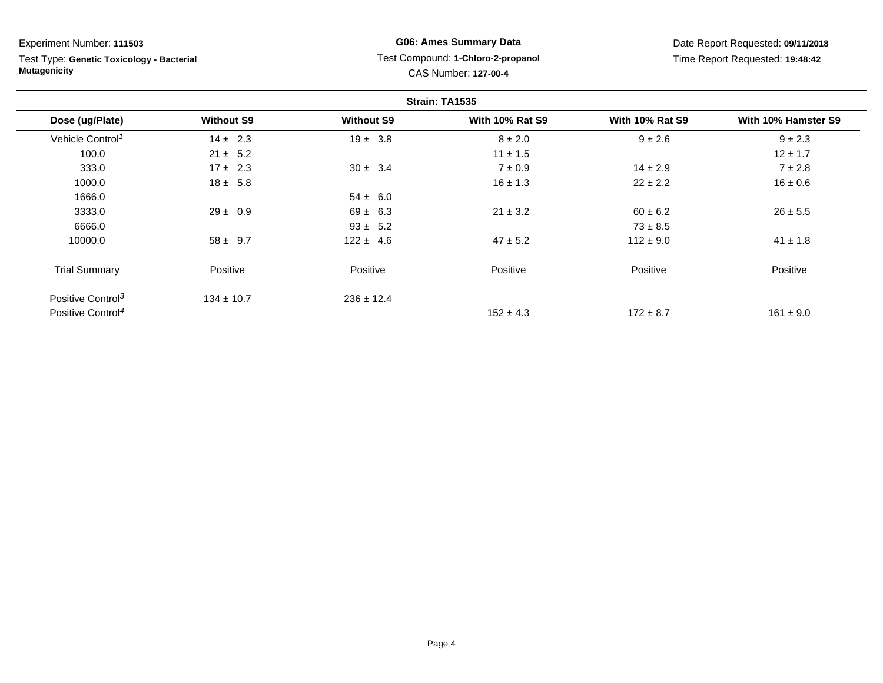Test Type: **Genetic Toxicology - Bacterial Mutagenicity**

# **G06: Ames Summary Data** Test Compound: **1-Chloro-2-propanol**CAS Number: **127-00-4**

| Strain: TA1535                |                   |                   |                        |                        |                     |
|-------------------------------|-------------------|-------------------|------------------------|------------------------|---------------------|
| Dose (ug/Plate)               | <b>Without S9</b> | <b>Without S9</b> | <b>With 10% Rat S9</b> | <b>With 10% Rat S9</b> | With 10% Hamster S9 |
| Vehicle Control <sup>1</sup>  | $14 \pm 2.3$      | $19 \pm 3.8$      | $8 \pm 2.0$            | $9 \pm 2.6$            | $9 \pm 2.3$         |
| 100.0                         | $21 \pm 5.2$      |                   | $11 \pm 1.5$           |                        | $12 \pm 1.7$        |
| 333.0                         | $17 \pm 2.3$      | $30 \pm 3.4$      | $7 \pm 0.9$            | $14 \pm 2.9$           | $7 \pm 2.8$         |
| 1000.0                        | $18 \pm 5.8$      |                   | $16 \pm 1.3$           | $22 \pm 2.2$           | $16 \pm 0.6$        |
| 1666.0                        |                   | $54 \pm 6.0$      |                        |                        |                     |
| 3333.0                        | $29 \pm 0.9$      | $69 \pm 6.3$      | $21 \pm 3.2$           | $60 \pm 6.2$           | $26 \pm 5.5$        |
| 6666.0                        |                   | $93 \pm 5.2$      |                        | $73 \pm 8.5$           |                     |
| 10000.0                       | $58 \pm 9.7$      | $122 \pm 4.6$     | $47 \pm 5.2$           | $112 \pm 9.0$          | $41 \pm 1.8$        |
| <b>Trial Summary</b>          | Positive          | Positive          | Positive               | Positive               | Positive            |
| Positive Control <sup>3</sup> | $134 \pm 10.7$    | $236 \pm 12.4$    |                        |                        |                     |
| Positive Control <sup>4</sup> |                   |                   | $152 \pm 4.3$          | $172 \pm 8.7$          | $161 \pm 9.0$       |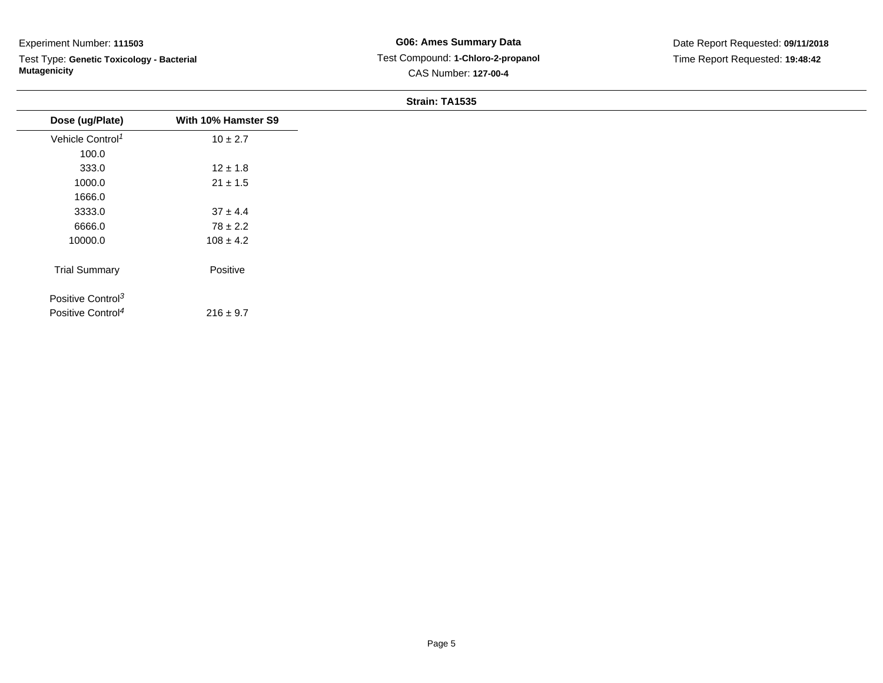Test Type: **Genetic Toxicology - Bacterial Mutagenicity**

#### **Strain: TA1535**

| Dose (ug/Plate)               | With 10% Hamster S9 |
|-------------------------------|---------------------|
| Vehicle Control <sup>1</sup>  | $10 \pm 2.7$        |
| 100.0                         |                     |
| 333.0                         | $12 \pm 1.8$        |
| 1000.0                        | $21 \pm 1.5$        |
| 1666.0                        |                     |
| 3333.0                        | $37 \pm 4.4$        |
| 6666.0                        | $78 \pm 2.2$        |
| 10000.0                       | $108 \pm 4.2$       |
|                               |                     |
| <b>Trial Summary</b>          | Positive            |
| Positive Control <sup>3</sup> |                     |
| Positive Control <sup>4</sup> | $216 \pm 9.7$       |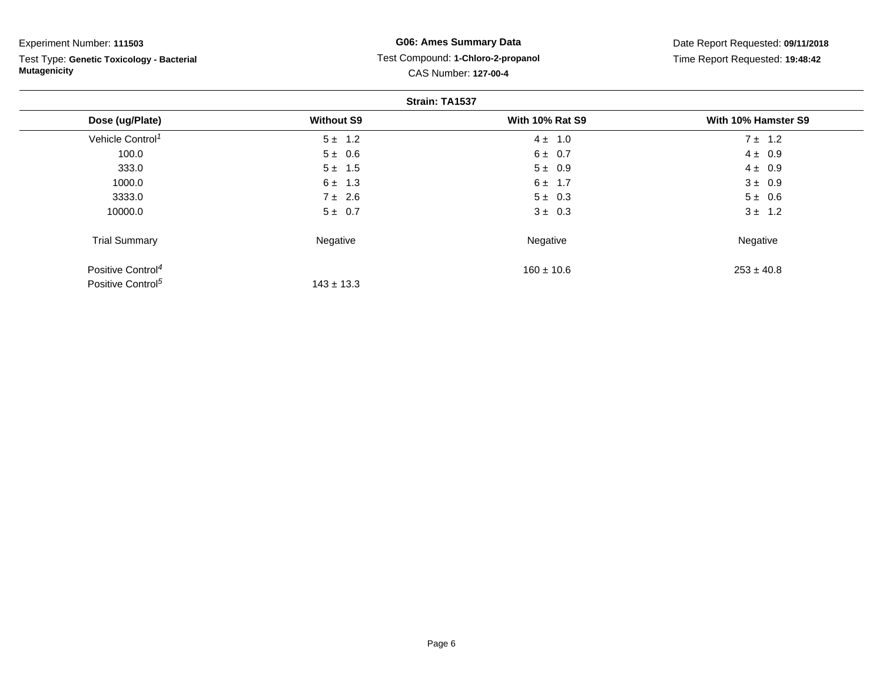Test Type: **Genetic Toxicology - Bacterial Mutagenicity**

# **G06: Ames Summary Data** Test Compound: **1-Chloro-2-propanol**CAS Number: **127-00-4**

| Strain: TA1537                |                   |                        |                     |  |
|-------------------------------|-------------------|------------------------|---------------------|--|
| Dose (ug/Plate)               | <b>Without S9</b> | <b>With 10% Rat S9</b> | With 10% Hamster S9 |  |
| Vehicle Control <sup>1</sup>  | $5 \pm 1.2$       | $4 \pm 1.0$            | $7 \pm 1.2$         |  |
| 100.0                         | $5 \pm 0.6$       | $6 \pm 0.7$            | $4 \pm 0.9$         |  |
| 333.0                         | $5 \pm 1.5$       | $5 \pm 0.9$            | $4 \pm 0.9$         |  |
| 1000.0                        | $6 \pm 1.3$       | $6 \pm 1.7$            | $3 \pm 0.9$         |  |
| 3333.0                        | $7 \pm 2.6$       | $5 \pm 0.3$            | $5 \pm 0.6$         |  |
| 10000.0                       | $5 \pm 0.7$       | $3 \pm 0.3$            | $3 \pm 1.2$         |  |
| <b>Trial Summary</b>          | Negative          | Negative               | Negative            |  |
| Positive Control <sup>4</sup> |                   | $160 \pm 10.6$         | $253 \pm 40.8$      |  |
| Positive Control <sup>5</sup> | $143 \pm 13.3$    |                        |                     |  |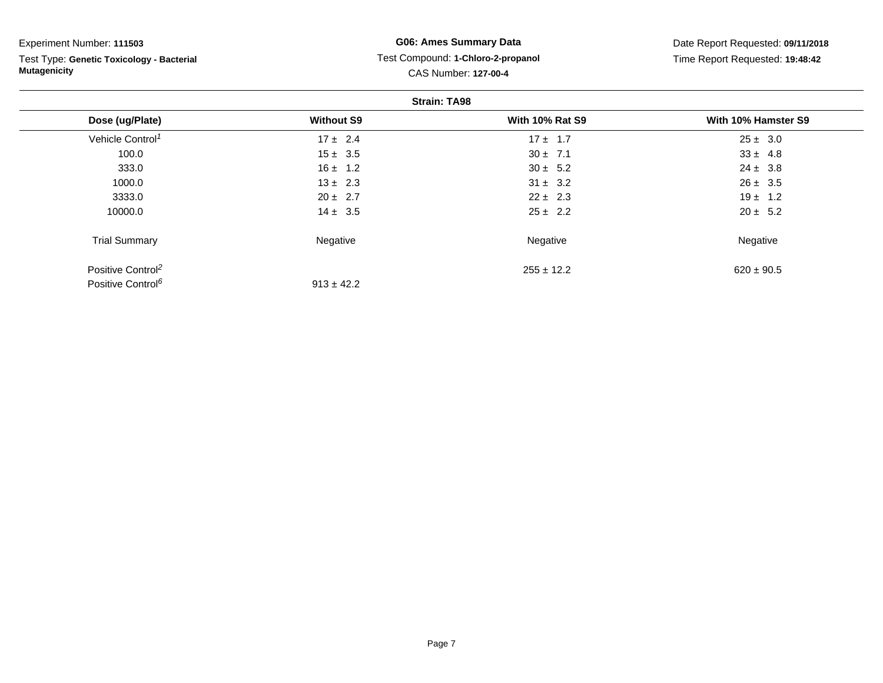Test Type: **Genetic Toxicology - Bacterial Mutagenicity**

# **G06: Ames Summary Data** Test Compound: **1-Chloro-2-propanol**CAS Number: **127-00-4**

| <b>Strain: TA98</b>           |                   |                        |                     |  |  |
|-------------------------------|-------------------|------------------------|---------------------|--|--|
| Dose (ug/Plate)               | <b>Without S9</b> | <b>With 10% Rat S9</b> | With 10% Hamster S9 |  |  |
| Vehicle Control <sup>1</sup>  | $17 \pm 2.4$      | $17 \pm 1.7$           | $25 \pm 3.0$        |  |  |
| 100.0                         | $15 \pm 3.5$      | $30 \pm 7.1$           | $33 \pm 4.8$        |  |  |
| 333.0                         | $16 \pm 1.2$      | $30 \pm 5.2$           | $24 \pm 3.8$        |  |  |
| 1000.0                        | $13 \pm 2.3$      | $31 \pm 3.2$           | $26 \pm 3.5$        |  |  |
| 3333.0                        | $20 \pm 2.7$      | $22 \pm 2.3$           | $19 \pm 1.2$        |  |  |
| 10000.0                       | $14 \pm 3.5$      | $25 \pm 2.2$           | $20 \pm 5.2$        |  |  |
| <b>Trial Summary</b>          | Negative          | Negative               | Negative            |  |  |
| Positive Control <sup>2</sup> |                   | $255 \pm 12.2$         | $620 \pm 90.5$      |  |  |
| Positive Control <sup>6</sup> | $913 \pm 42.2$    |                        |                     |  |  |